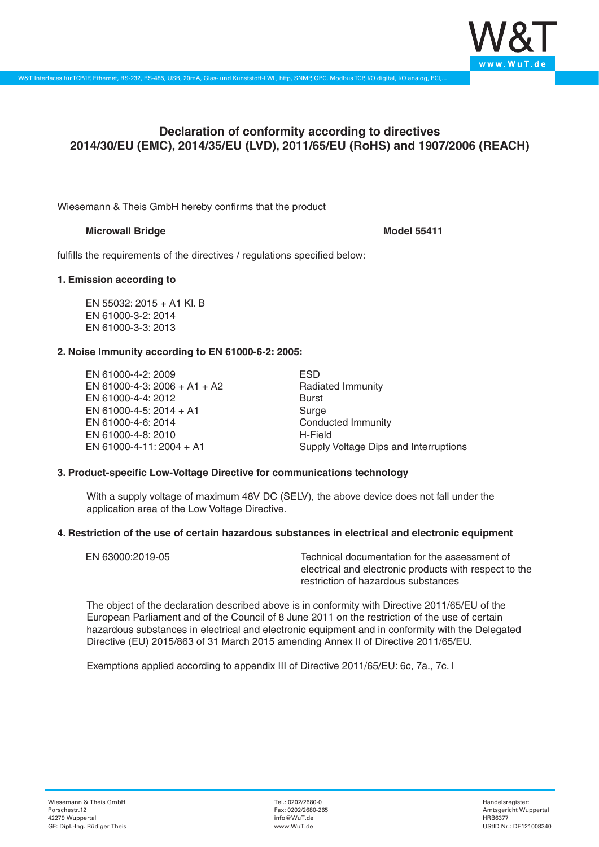

# **Declaration of conformity according to directives 2014/30/EU (EMC), 2014/35/EU (LVD), 2011/65/EU (RoHS) and 1907/2006 (REACH)**

Wiesemann & Theis GmbH hereby confirms that the product

# **Microwall Bridge Model 55411**

fulfills the requirements of the directives / regulations specified below:

## **1. Emission according to**

EN 55032: 2015 + A1 Kl. B EN 61000-3-2: 2014 EN 61000-3-3: 2013

## **2. Noise Immunity according to EN 61000-6-2: 2005:**

EN 61000-4-2: 2009 EN 61000-4-3: 2006 + A1 + A2 EN 61000-4-4: 2012 EN 61000-4-5: 2014 + A1 EN 61000-4-6: 2014 EN 61000-4-8: 2010 EN 61000-4-11: 2004 + A1

ESD Radiated Immunity Burst Surge Conducted Immunity H-Field Supply Voltage Dips and Interruptions

# **3. Product-specific Low-Voltage Directive for communications technology**

With a supply voltage of maximum 48V DC (SELV), the above device does not fall under the application area of the Low Voltage Directive.

#### **4. Restriction of the use of certain hazardous substances in electrical and electronic equipment**

| EN 63000:2019-05 | Technical documentation for the assessment of          |
|------------------|--------------------------------------------------------|
|                  | electrical and electronic products with respect to the |
|                  | restriction of hazardous substances                    |

The object of the declaration described above is in conformity with Directive 2011/65/EU of the European Parliament and of the Council of 8 June 2011 on the restriction of the use of certain hazardous substances in electrical and electronic equipment and in conformity with the Delegated Directive (EU) 2015/863 of 31 March 2015 amending Annex II of Directive 2011/65/EU.

Exemptions applied according to appendix III of Directive 2011/65/EU: 6c, 7a., 7c. I